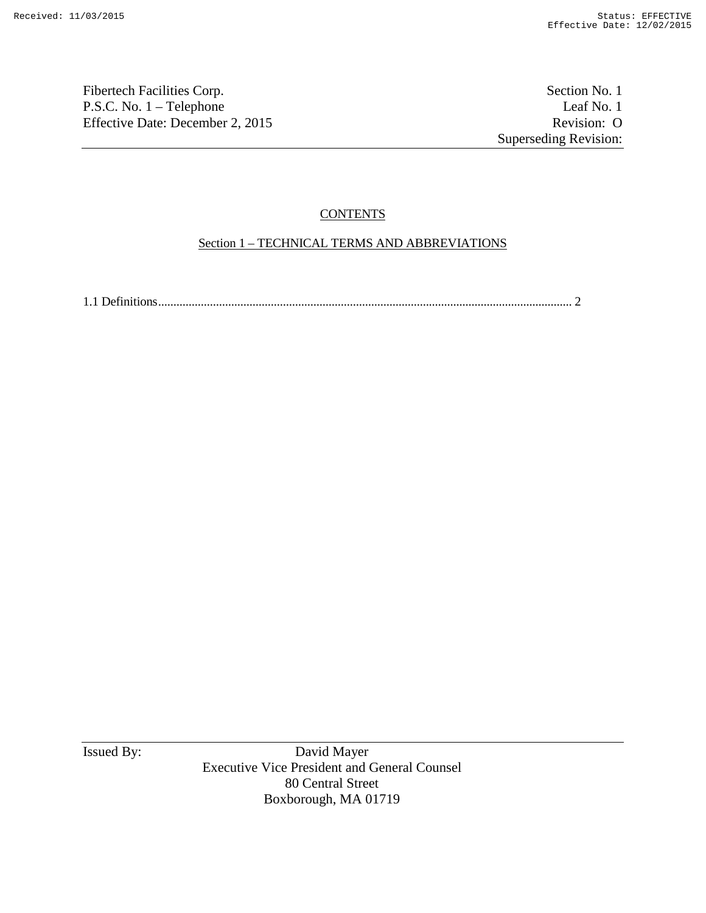Fibertech Facilities Corp. Section No. 1 P.S.C. No. 1 – Telephone Leaf No. 1<br>
Effective Date: December 2, 2015 Revision: O Effective Date: December 2, 2015

Superseding Revision:

# **CONTENTS**

# Section 1 – TECHNICAL TERMS AND ABBREVIATIONS

1.1 Definitions........................................................................................................................................ 2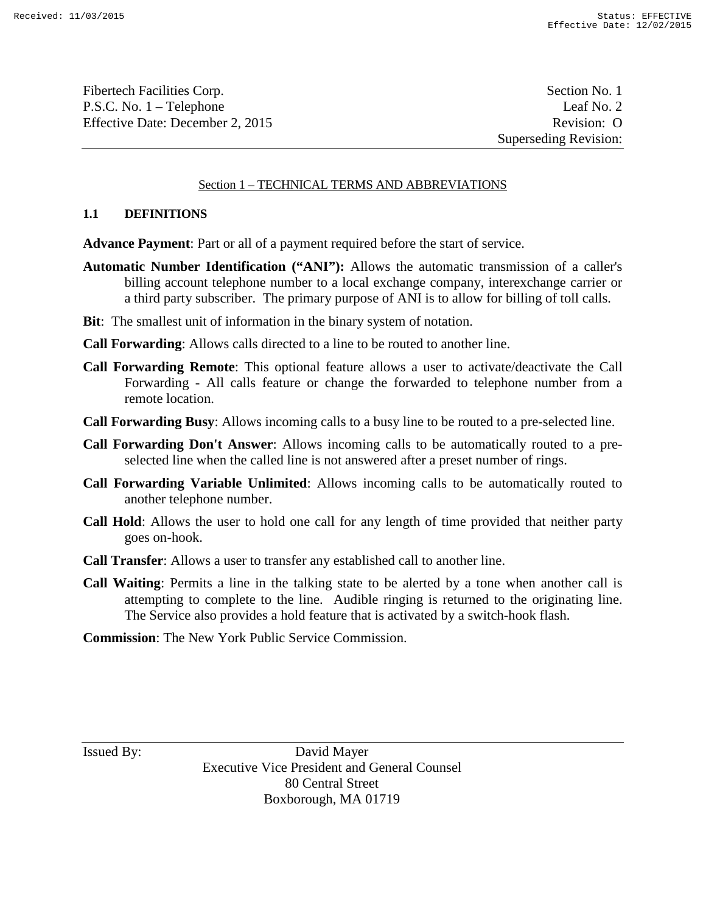Fibertech Facilities Corp.  $\blacksquare$  Section No. 1 P.S.C. No. 1 – Telephone Leaf No. 2 Effective Date: December 2, 2015 Revision: O

Superseding Revision:

# Section 1 – TECHNICAL TERMS AND ABBREVIATIONS

#### **1.1 DEFINITIONS**

**Advance Payment**: Part or all of a payment required before the start of service.

- **Automatic Number Identification ("ANI"):** Allows the automatic transmission of a caller's billing account telephone number to a local exchange company, interexchange carrier or a third party subscriber. The primary purpose of ANI is to allow for billing of toll calls.
- **Bit**: The smallest unit of information in the binary system of notation.
- **Call Forwarding**: Allows calls directed to a line to be routed to another line.
- **Call Forwarding Remote**: This optional feature allows a user to activate/deactivate the Call Forwarding - All calls feature or change the forwarded to telephone number from a remote location.
- **Call Forwarding Busy**: Allows incoming calls to a busy line to be routed to a pre-selected line.
- **Call Forwarding Don't Answer**: Allows incoming calls to be automatically routed to a preselected line when the called line is not answered after a preset number of rings.
- **Call Forwarding Variable Unlimited**: Allows incoming calls to be automatically routed to another telephone number.
- **Call Hold**: Allows the user to hold one call for any length of time provided that neither party goes on-hook.
- **Call Transfer**: Allows a user to transfer any established call to another line.
- **Call Waiting**: Permits a line in the talking state to be alerted by a tone when another call is attempting to complete to the line. Audible ringing is returned to the originating line. The Service also provides a hold feature that is activated by a switch-hook flash.
- **Commission**: The New York Public Service Commission.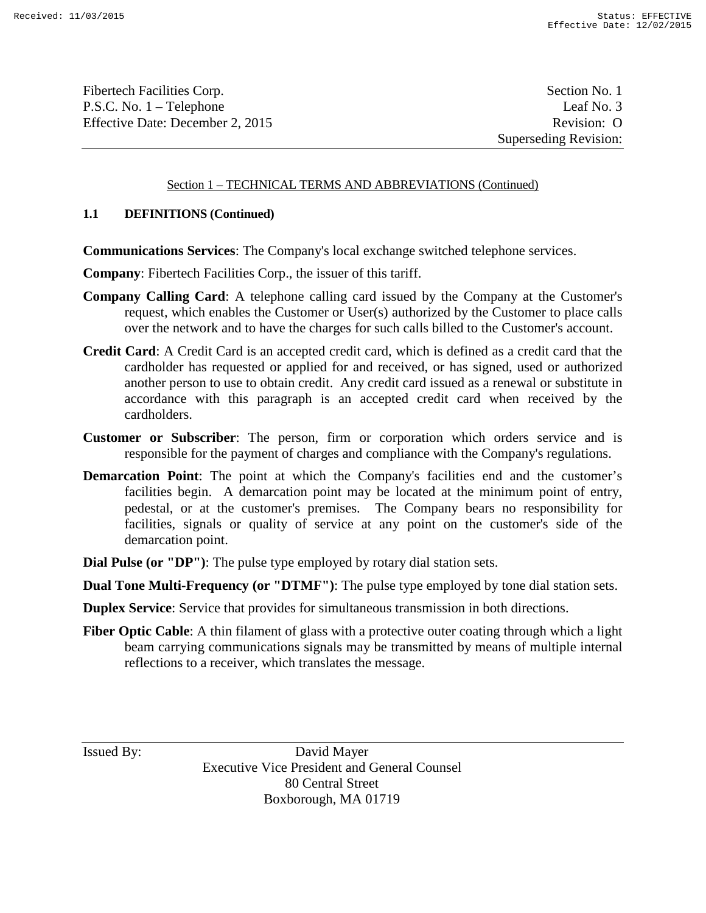Fibertech Facilities Corp.  $\blacksquare$  Section No. 1 P.S.C. No. 1 – Telephone Leaf No. 3 Effective Date: December 2, 2015 Revision: O

Superseding Revision:

# Section 1 – TECHNICAL TERMS AND ABBREVIATIONS (Continued)

# **1.1 DEFINITIONS (Continued)**

**Communications Services**: The Company's local exchange switched telephone services.

**Company**: Fibertech Facilities Corp., the issuer of this tariff.

- **Company Calling Card**: A telephone calling card issued by the Company at the Customer's request, which enables the Customer or User(s) authorized by the Customer to place calls over the network and to have the charges for such calls billed to the Customer's account.
- **Credit Card**: A Credit Card is an accepted credit card, which is defined as a credit card that the cardholder has requested or applied for and received, or has signed, used or authorized another person to use to obtain credit. Any credit card issued as a renewal or substitute in accordance with this paragraph is an accepted credit card when received by the cardholders.
- **Customer or Subscriber**: The person, firm or corporation which orders service and is responsible for the payment of charges and compliance with the Company's regulations.
- **Demarcation Point:** The point at which the Company's facilities end and the customer's facilities begin. A demarcation point may be located at the minimum point of entry, pedestal, or at the customer's premises. The Company bears no responsibility for facilities, signals or quality of service at any point on the customer's side of the demarcation point.
- **Dial Pulse (or "DP")**: The pulse type employed by rotary dial station sets.

**Dual Tone Multi-Frequency (or "DTMF")**: The pulse type employed by tone dial station sets.

**Duplex Service**: Service that provides for simultaneous transmission in both directions.

**Fiber Optic Cable:** A thin filament of glass with a protective outer coating through which a light beam carrying communications signals may be transmitted by means of multiple internal reflections to a receiver, which translates the message.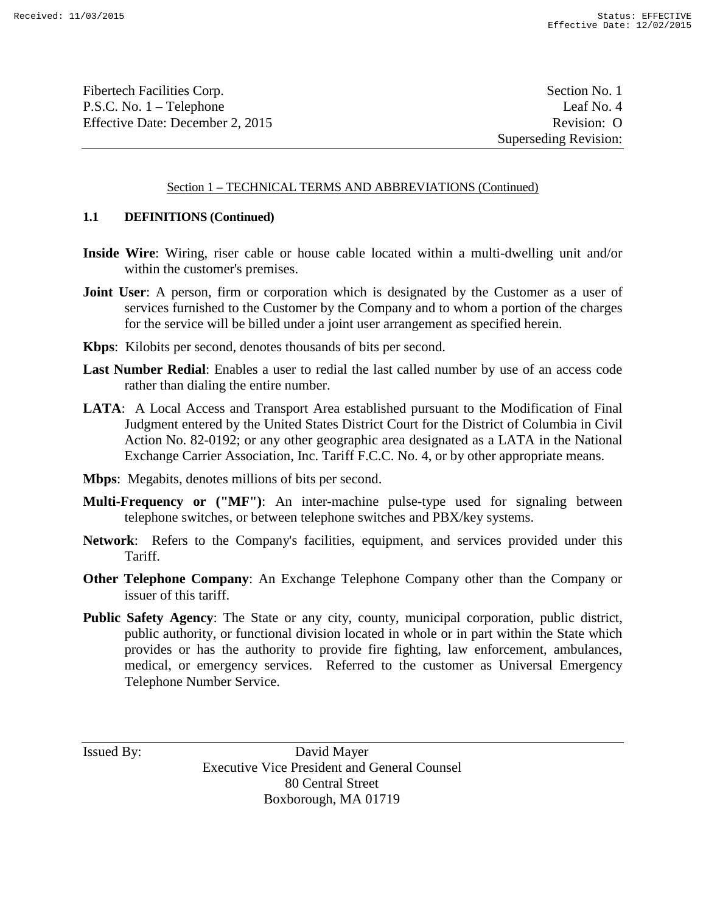Fibertech Facilities Corp.  $\blacksquare$  Section No. 1 P.S.C. No. 1 – Telephone Leaf No. 4 Effective Date: December 2, 2015 Revision: O

Superseding Revision:

#### Section 1 – TECHNICAL TERMS AND ABBREVIATIONS (Continued)

# **1.1 DEFINITIONS (Continued)**

- **Inside Wire**: Wiring, riser cable or house cable located within a multi-dwelling unit and/or within the customer's premises.
- **Joint User:** A person, firm or corporation which is designated by the Customer as a user of services furnished to the Customer by the Company and to whom a portion of the charges for the service will be billed under a joint user arrangement as specified herein.
- **Kbps**: Kilobits per second, denotes thousands of bits per second.
- **Last Number Redial**: Enables a user to redial the last called number by use of an access code rather than dialing the entire number.
- **LATA**: A Local Access and Transport Area established pursuant to the Modification of Final Judgment entered by the United States District Court for the District of Columbia in Civil Action No. 82-0192; or any other geographic area designated as a LATA in the National Exchange Carrier Association, Inc. Tariff F.C.C. No. 4, or by other appropriate means.
- **Mbps**: Megabits, denotes millions of bits per second.
- **Multi-Frequency or ("MF")**: An inter-machine pulse-type used for signaling between telephone switches, or between telephone switches and PBX/key systems.
- **Network**: Refers to the Company's facilities, equipment, and services provided under this Tariff.
- **Other Telephone Company**: An Exchange Telephone Company other than the Company or issuer of this tariff.
- **Public Safety Agency**: The State or any city, county, municipal corporation, public district, public authority, or functional division located in whole or in part within the State which provides or has the authority to provide fire fighting, law enforcement, ambulances, medical, or emergency services. Referred to the customer as Universal Emergency Telephone Number Service.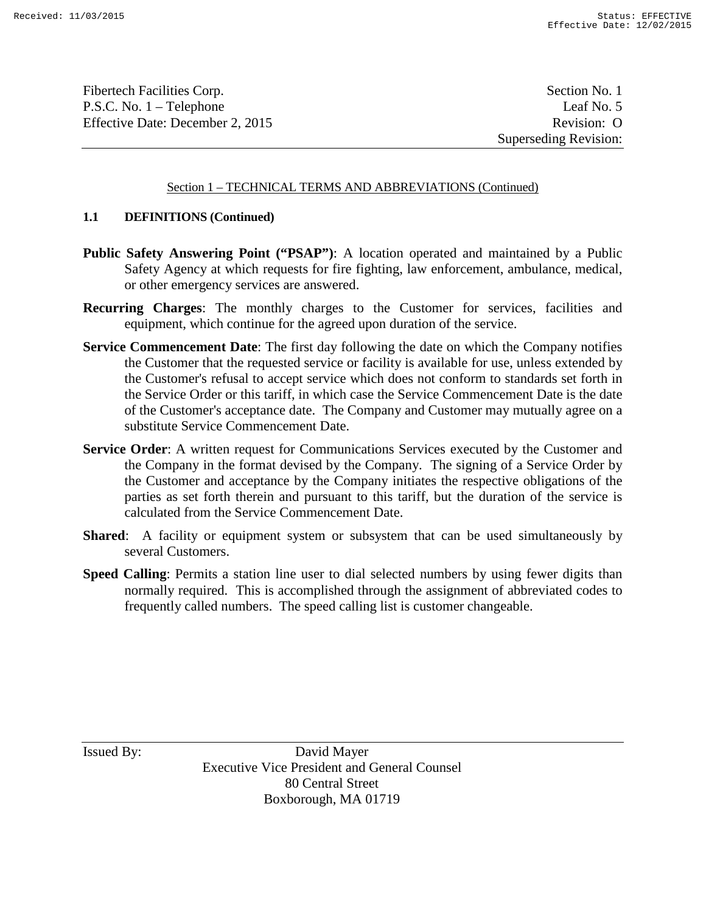Fibertech Facilities Corp. Section No. 1 P.S.C. No. 1 – Telephone Leaf No. 5 Effective Date: December 2, 2015 Revision: O

Superseding Revision:

# Section 1 – TECHNICAL TERMS AND ABBREVIATIONS (Continued)

# **1.1 DEFINITIONS (Continued)**

- **Public Safety Answering Point ("PSAP")**: A location operated and maintained by a Public Safety Agency at which requests for fire fighting, law enforcement, ambulance, medical, or other emergency services are answered.
- **Recurring Charges**: The monthly charges to the Customer for services, facilities and equipment, which continue for the agreed upon duration of the service.
- **Service Commencement Date**: The first day following the date on which the Company notifies the Customer that the requested service or facility is available for use, unless extended by the Customer's refusal to accept service which does not conform to standards set forth in the Service Order or this tariff, in which case the Service Commencement Date is the date of the Customer's acceptance date. The Company and Customer may mutually agree on a substitute Service Commencement Date.
- **Service Order**: A written request for Communications Services executed by the Customer and the Company in the format devised by the Company. The signing of a Service Order by the Customer and acceptance by the Company initiates the respective obligations of the parties as set forth therein and pursuant to this tariff, but the duration of the service is calculated from the Service Commencement Date.
- **Shared:** A facility or equipment system or subsystem that can be used simultaneously by several Customers.
- **Speed Calling**: Permits a station line user to dial selected numbers by using fewer digits than normally required. This is accomplished through the assignment of abbreviated codes to frequently called numbers. The speed calling list is customer changeable.